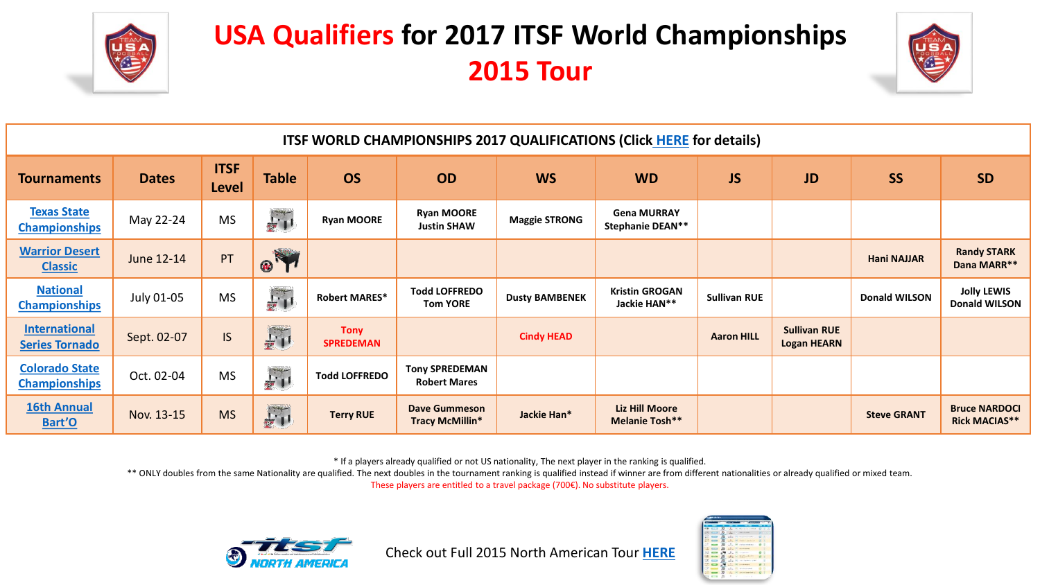

## **USA Qualifiers for 2017 ITSF World Championships 2015 Tour**



| ITSF WORLD CHAMPIONSHIPS 2017 QUALIFICATIONS (Click HERE for details) |              |                             |                    |                                 |                                              |                       |                                                |                     |                                           |                      |                                              |
|-----------------------------------------------------------------------|--------------|-----------------------------|--------------------|---------------------------------|----------------------------------------------|-----------------------|------------------------------------------------|---------------------|-------------------------------------------|----------------------|----------------------------------------------|
| <b>Tournaments</b>                                                    | <b>Dates</b> | <b>ITSF</b><br><b>Level</b> | <b>Table</b>       | <b>OS</b>                       | <b>OD</b>                                    | <b>WS</b>             | <b>WD</b>                                      | <b>JS</b>           | <b>JD</b>                                 | <b>SS</b>            | <b>SD</b>                                    |
| <b>Texas State</b><br><b>Championships</b>                            | May 22-24    | <b>MS</b>                   | $\frac{1}{2}$      | <b>Ryan MOORE</b>               | <b>Ryan MOORE</b><br><b>Justin SHAW</b>      | <b>Maggie STRONG</b>  | <b>Gena MURRAY</b><br><b>Stephanie DEAN**</b>  |                     |                                           |                      |                                              |
| <b>Warrior Desert</b><br><b>Classic</b>                               | June 12-14   | PT                          | F<br>$\circledast$ |                                 |                                              |                       |                                                |                     |                                           | <b>Hani NAJJAR</b>   | <b>Randy STARK</b><br>Dana MARR**            |
| <b>National</b><br><b>Championships</b>                               | July 01-05   | <b>MS</b>                   | $\Gamma_{\rm I}$   | <b>Robert MARES*</b>            | <b>Todd LOFFREDO</b><br><b>Tom YORE</b>      | <b>Dusty BAMBENEK</b> | <b>Kristin GROGAN</b><br>Jackie HAN**          | <b>Sullivan RUE</b> |                                           | <b>Donald WILSON</b> | <b>Jolly LEWIS</b><br><b>Donald WILSON</b>   |
| <b>International</b><br><b>Series Tornado</b>                         | Sept. 02-07  | <b>IS</b>                   | 野川                 | <b>Tony</b><br><b>SPREDEMAN</b> |                                              | <b>Cindy HEAD</b>     |                                                | <b>Aaron HILL</b>   | <b>Sullivan RUE</b><br><b>Logan HEARN</b> |                      |                                              |
| <b>Colorado State</b><br><b>Championships</b>                         | Oct. 02-04   | <b>MS</b>                   | $\Gamma_1$         | <b>Todd LOFFREDO</b>            | <b>Tony SPREDEMAN</b><br><b>Robert Mares</b> |                       |                                                |                     |                                           |                      |                                              |
| <b>16th Annual</b><br>Bart'O                                          | Nov. 13-15   | <b>MS</b>                   | 一                  | <b>Terry RUE</b>                | Dave Gummeson<br>Tracy McMillin*             | Jackie Han*           | <b>Liz Hill Moore</b><br><b>Melanie Tosh**</b> |                     |                                           | <b>Steve GRANT</b>   | <b>Bruce NARDOCI</b><br><b>Rick MACIAS**</b> |

\* If a players already qualified or not US nationality, The next player in the ranking is qualified.

\*\* ONLY doubles from the same Nationality are qualified. The next doubles in the tournament ranking is qualified instead if winner are from different nationalities or already qualified or mixed team. These players are entitled to a travel package (700€). No substitute players.



Check out Full 2015 North American Tour **[HERE](http://www.northamericafoos.org/node/152)**